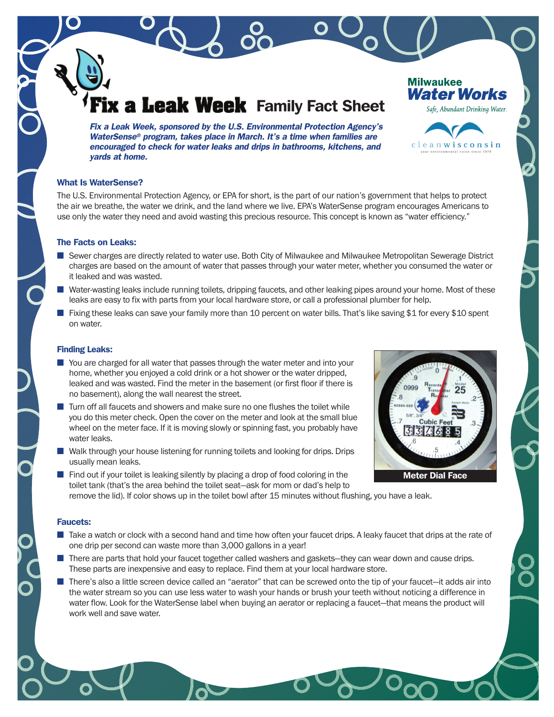# **Leak Week** Family Fact Sheet

Fix a Leak Week, sponsored by the U.S. Environmental Protection Agency's WaterSense® program, takes place in March. It's a time when families are encouraged to check for water leaks and drips in bathrooms, kitchens, and yards at home.

# What Is WaterSense?

The U.S. Environmental Protection Agency, or EPA for short, is the part of our nation's government that helps to protect the air we breathe, the water we drink, and the land where we live. EPA's WaterSense program encourages Americans to use only the water they need and avoid wasting this precious resource. This concept is known as "water efficiency."

# The Facts on Leaks:

- Sewer charges are directly related to water use. Both City of Milwaukee and Milwaukee Metropolitan Sewerage District charges are based on the amount of water that passes through your water meter, whether you consumed the water or it leaked and was wasted.
- Water-wasting leaks include running toilets, dripping faucets, and other leaking pipes around your home. Most of these leaks are easy to fix with parts from your local hardware store, or call a professional plumber for help.
- Fixing these leaks can save your family more than 10 percent on water bills. That's like saving \$1 for every \$10 spent on water.

#### Finding Leaks:

- You are charged for all water that passes through the water meter and into your home, whether you enjoyed a cold drink or a hot shower or the water dripped, leaked and was wasted. Find the meter in the basement (or first floor if there is no basement), along the wall nearest the street.
- Turn off all faucets and showers and make sure no one flushes the toilet while you do this meter check. Open the cover on the meter and look at the small blue wheel on the meter face. If it is moving slowly or spinning fast, you probably have water leaks.
- Walk through your house listening for running toilets and looking for drips. Drips usually mean leaks.
- Find out if your toilet is leaking silently by placing a drop of food coloring in the toilet tank (that's the area behind the toilet seat—ask for mom or dad's help to remove the lid). If color shows up in the toilet bowl after 15 minutes without flushing, you have a leak.

#### Faucets:

- Take a watch or clock with a second hand and time how often your faucet drips. A leaky faucet that drips at the rate of one drip per second can waste more than 3,000 gallons in a year!
- There are parts that hold your faucet together called washers and gaskets—they can wear down and cause drips. These parts are inexpensive and easy to replace. Find them at your local hardware store.
- There's also a little screen device called an "aerator" that can be screwed onto the tip of your faucet—it adds air into the water stream so you can use less water to wash your hands or brush your teeth without noticing a difference in water flow. Look for the WaterSense label when buying an aerator or replacing a faucet—that means the product will work well and save water.





**Water Works** 

**Milwaukee**